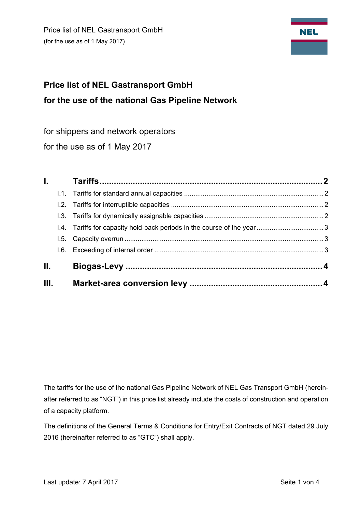Price list of NEL Gastransport GmbH (for the use as of 1 May 2017)



# **Price list of NEL Gastransport GmbH for the use of the national Gas Pipeline Network**

for shippers and network operators

for the use as of 1 May 2017

|      | L. Co |  |
|------|-------|--|
|      |       |  |
|      |       |  |
|      |       |  |
|      |       |  |
|      |       |  |
|      |       |  |
| Ш.   |       |  |
| III. |       |  |

The tariffs for the use of the national Gas Pipeline Network of NEL Gas Transport GmbH (hereinafter referred to as "NGT") in this price list already include the costs of construction and operation of a capacity platform.

The definitions of the General Terms & Conditions for Entry/Exit Contracts of NGT dated 29 July 2016 (hereinafter referred to as "GTC") shall apply.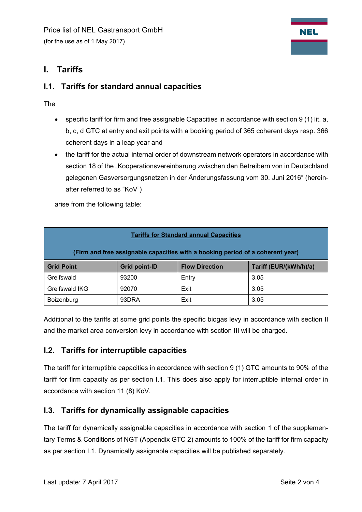

## **I. Tariffs**

#### **I.1. Tariffs for standard annual capacities**

The

- specific tariff for firm and free assignable Capacities in accordance with section 9 (1) lit. a, b, c, d GTC at entry and exit points with a booking period of 365 coherent days resp. 366 coherent days in a leap year and
- the tariff for the actual internal order of downstream network operators in accordance with section 18 of the "Kooperationsvereinbarung zwischen den Betreibern von in Deutschland gelegenen Gasversorgungsnetzen in der Änderungsfassung vom 30. Juni 2016" (hereinafter referred to as "KoV")

arise from the following table:

| <b>Tariffs for Standard annual Capacities</b>                                  |                      |                       |                        |  |  |  |  |  |
|--------------------------------------------------------------------------------|----------------------|-----------------------|------------------------|--|--|--|--|--|
| (Firm and free assignable capacities with a booking period of a coherent year) |                      |                       |                        |  |  |  |  |  |
| <b>Grid Point</b>                                                              | <b>Grid point-ID</b> | <b>Flow Direction</b> | Tariff (EUR/(kWh/h)/a) |  |  |  |  |  |
| Greifswald                                                                     | 93200                | Entry                 | 3.05                   |  |  |  |  |  |
| Greifswald IKG                                                                 | 92070                | Exit                  | 3.05                   |  |  |  |  |  |
| Boizenburg                                                                     | 93DRA                | Exit                  | 3.05                   |  |  |  |  |  |

Additional to the tariffs at some grid points the specific biogas levy in accordance with section II and the market area conversion levy in accordance with section III will be charged.

## **I.2. Tariffs for interruptible capacities**

The tariff for interruptible capacities in accordance with section 9 (1) GTC amounts to 90% of the tariff for firm capacity as per section I.1. This does also apply for interruptible internal order in accordance with section 11 (8) KoV.

## **I.3. Tariffs for dynamically assignable capacities**

The tariff for dynamically assignable capacities in accordance with section 1 of the supplementary Terms & Conditions of NGT (Appendix GTC 2) amounts to 100% of the tariff for firm capacity as per section I.1. Dynamically assignable capacities will be published separately.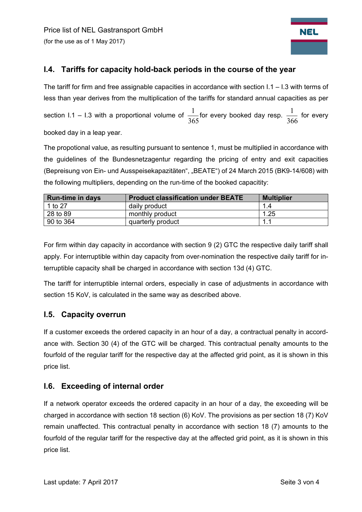

## **I.4. Tariffs for capacity hold-back periods in the course of the year**

The tariff for firm and free assignable capacities in accordance with section  $1.1 - 1.3$  with terms of less than year derives from the multiplication of the tariffs for standard annual capacities as per section I.1 – I.3 with a proportional volume of  $\frac{1}{365}$  for every booked day resp.  $\frac{1}{366}$  for every booked day in a leap year.

The propotional value, as resulting pursuant to sentence 1, must be multiplied in accordance with the guidelines of the Bundesnetzagentur regarding the pricing of entry and exit capacities (Bepreisung von Ein- und Ausspeisekapazitäten", "BEATE") of 24 March 2015 (BK9-14/608) with the following multipliers, depending on the run-time of the booked capacitity:

| <b>Run-time in days</b> | <b>Product classification under BEATE</b> | <b>Multiplier</b> |
|-------------------------|-------------------------------------------|-------------------|
| 1 to 27                 | daily product                             | 1.4               |
| 28 to 89                | monthly product                           | 1.25              |
| 90 to 364               | quarterly product                         | 1.1               |

For firm within day capacity in accordance with section 9 (2) GTC the respective daily tariff shall apply. For interruptible within day capacity from over-nomination the respective daily tariff for interruptible capacity shall be charged in accordance with section 13d (4) GTC.

The tariff for interruptible internal orders, especially in case of adjustments in accordance with section 15 KoV, is calculated in the same way as described above.

#### **I.5. Capacity overrun**

If a customer exceeds the ordered capacity in an hour of a day, a contractual penalty in accordance with. Section 30 (4) of the GTC will be charged. This contractual penalty amounts to the fourfold of the regular tariff for the respective day at the affected grid point, as it is shown in this price list.

#### **I.6. Exceeding of internal order**

If a network operator exceeds the ordered capacity in an hour of a day, the exceeding will be charged in accordance with section 18 section (6) KoV. The provisions as per section 18 (7) KoV remain unaffected. This contractual penalty in accordance with section 18 (7) amounts to the fourfold of the regular tariff for the respective day at the affected grid point, as it is shown in this price list.